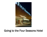

## Going to the Four Seasons Hotel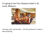## I'm going to the Four Seasons Hotel in St. Louis, Missouri.



I will stay calm and be safe. I will tell someone if I need or want anything.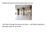## People will hold the front doors open for me.



I will walk through the doors one time. I will follow directions and stay close to my family.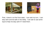



First, I check in at the front desk. I can wait my turn. I can stay calm and be safe in the lobby. I can ask to use some toys to help me stay calm if I need them.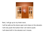

Next, I will go up to my hotel room.

I will be safe as the doors open and close on the elevator.

- I will only push the button that I am told to push.
- I will stand still in the elevator as it moves.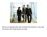

There is a big staircase with windows all around it. I can see the whole city! These stairs are safe.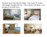My hotel room may look like these. I can watch TV or play with things I brought with me. This is where I will sleep. I will be safe in my hotel room.







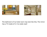



## The bathroom of my hotel room may look like this. The mirror has a TV inside of it. It is really neat!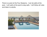There is a pool at the Four Seasons. I can be safe at the pool. I will walk at the pool to stay safe. I will follow all rules and listen to adults.

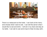

There is a restaurant at the hotel. I can look at the menu and choose what I want to eat. I can tell the server what I would like to eat and drink. I will sit in my chair and stay at my table. I can ask to use some toys to help me stay calm.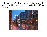I might go with my family to other places in St. Louis. I will walk on the sidewalks. I will stay with my family. I will follow directions.